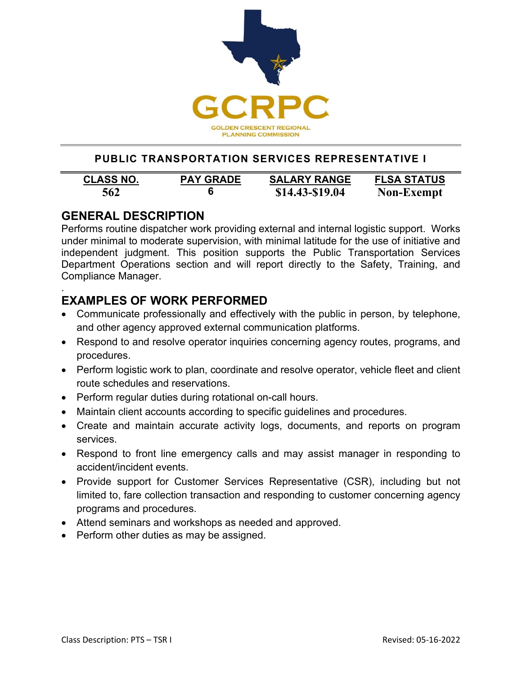

## **PUBLIC TRANSPORTATION SERVICES REPRESENTATIVE I**

| <b>CLASS NO.</b> | <b>PAY GRADE</b> | <b>SALARY RANGE</b> | <b>FLSA STATUS</b> |
|------------------|------------------|---------------------|--------------------|
| 562              | 6                | $$14.43 - $19.04$   | <b>Non-Exempt</b>  |

## **GENERAL DESCRIPTION**

Performs routine dispatcher work providing external and internal logistic support. Works under minimal to moderate supervision, with minimal latitude for the use of initiative and independent judgment. This position supports the Public Transportation Services Department Operations section and will report directly to the Safety, Training, and Compliance Manager.

#### . **EXAMPLES OF WORK PERFORMED**

- Communicate professionally and effectively with the public in person, by telephone, and other agency approved external communication platforms.
- Respond to and resolve operator inquiries concerning agency routes, programs, and procedures.
- Perform logistic work to plan, coordinate and resolve operator, vehicle fleet and client route schedules and reservations.
- Perform regular duties during rotational on-call hours.
- Maintain client accounts according to specific guidelines and procedures.
- Create and maintain accurate activity logs, documents, and reports on program services.
- Respond to front line emergency calls and may assist manager in responding to accident/incident events.
- Provide support for Customer Services Representative (CSR), including but not limited to, fare collection transaction and responding to customer concerning agency programs and procedures.
- Attend seminars and workshops as needed and approved.
- Perform other duties as may be assigned.